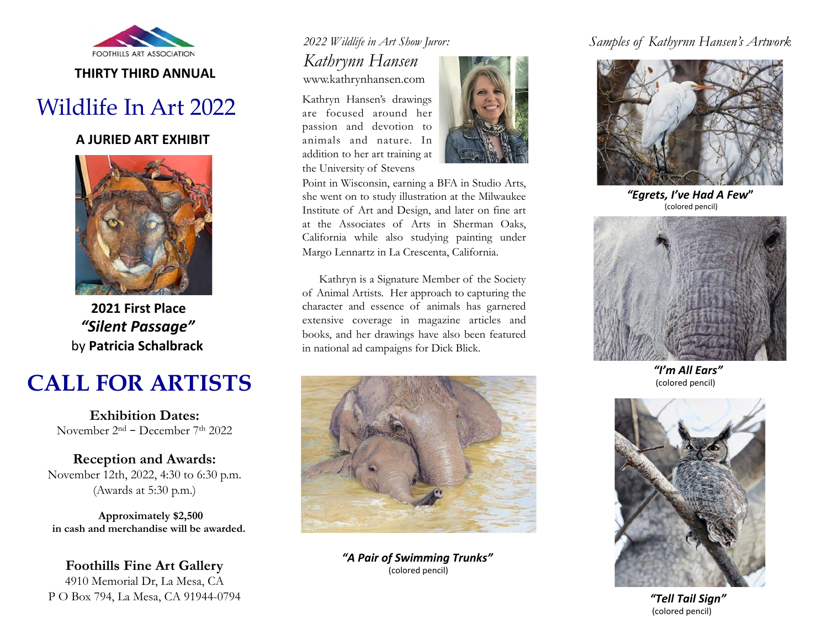

### **THIRTY THIRD ANNUAL**

# Wildlife In Art 2022

#### **A JURIED ART EXHIBIT**



**2021 First Place**  *"Silent Passage"* by **Patricia Schalbrack** 

# **CALL FOR ARTISTS**

**Exhibition Dates:**  November 2nd – December 7th 2022

**Reception and Awards:**  November 12th, 2022, 4:30 to 6:30 p.m. (Awards at 5:30 p.m.)

**Approximately \$2,500 in cash and merchandise will be awarded.** 

**Foothills Fine Art Gallery**  4910 Memorial Dr, La Mesa, CA P O Box 794, La Mesa, CA 91944-0794

## *2022 Wildlife in Art Show Juror:*

*Kathrynn Hansen*  www.kathrynhansen.com

Kathryn Hansen's drawings are focused around her passion and devotion to animals and nature. In addition to her art training at the University of Stevens



Point in Wisconsin, earning a BFA in Studio Arts, she went on to study illustration at the Milwaukee Institute of Art and Design, and later on fine art at the Associates of Arts in Sherman Oaks, California while also studying painting under Margo Lennartz in La Crescenta, California.

 Kathryn is a Signature Member of the Society of Animal Artists. Her approach to capturing the character and essence of animals has garnered extensive coverage in magazine articles and books, and her drawings have also been featured in national ad campaigns for Dick Blick.



*"A Pair of Swimming Trunks"*  (colored pencil)

## *Samples of Kathyrnn Hansen's Artwork*



*"Egrets, I've Had A Few***"**  (colored pencil)



*"I'm All Ears"*  (colored pencil)



*"Tell Tail Sign"*  (colored pencil)